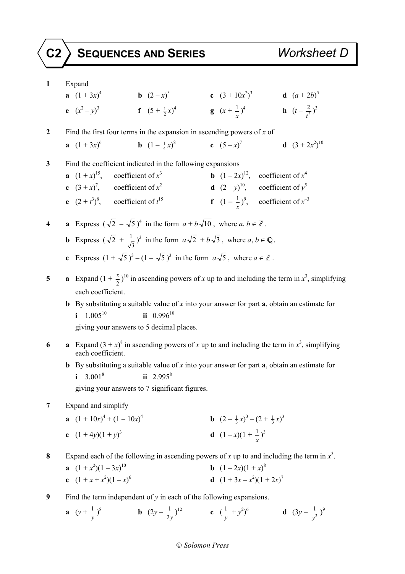## **C2 SEQUENCES AND SERIES** *Worksheet D*

**1** Expand **a**  $(1 + 3x)^4$  **b**  $(2-x)^5$  **c**  $(3 + 10x^2)^3$  **d**  $(a + 2b)^5$ **e**  $(x^2 - y)^3$  **f**  $(5 + \frac{1}{2}x)^4$  **g**  $(x + \frac{1}{x})^4$  **h**  $(t - \frac{2}{t^2})$  $(\frac{2}{t^2})^3$ **2** Find the first four terms in the expansion in ascending powers of *x* of **a**  $(1 + 3x)^6$ 6 **b**  $(1 - \frac{1}{4}x)$ 8 **c**  $(5-x)^7$  **d**  $(3+2x)$  $^{2}$ )<sup>10</sup> **3** Find the coefficient indicated in the following expansions **a**  $(1 + x)^{15}$ , coefficient of *x* **, coefficient of**  $x<sup>4</sup>$ **c**  $(3 + x)^7$ , coefficient of  $x^2$ **d**  $(2-y)^{10}$ , coefficient of  $y^5$ **e**  $(2 + t^3)^8$ , coefficient of *t* 15 **f**  $(1 - \frac{1}{x})^9$ , coefficient of  $x^{-3}$ **4 a** Express  $(\sqrt{2} - \sqrt{5})^4$  in the form  $a + b\sqrt{10}$ , where  $a, b \in \mathbb{Z}$ . **b** Express  $(\sqrt{2} + \frac{1}{\sqrt{3}})^3$  in the form  $a\sqrt{2} + b\sqrt{3}$ , where  $a, b \in \mathbb{Q}$ . **c** Express  $(1 + \sqrt{5})^3 - (1 - \sqrt{5})^3$  in the form  $a\sqrt{5}$ , where  $a \in \mathbb{Z}$ . **5 a** Expand  $(1 + \frac{x}{2})^{10}$  in ascending powers of *x* up to and including the term in *x*<sup>3</sup>, simplifying each coefficient. **b** By substituting a suitable value of *x* into your answer for part **a**, obtain an estimate for **i**  $1.005^{10}$  **ii**  $0.996^{10}$  giving your answers to 5 decimal places. 6 **a** Expand  $(3 + x)^8$  in ascending powers of *x* up to and including the term in  $x^3$ , simplifying each coefficient. **b** By substituting a suitable value of *x* into your answer for part **a**, obtain an estimate for **i** 3.001<sup>8</sup> **ii** 2.995<sup>8</sup> giving your answers to 7 significant figures. **7** Expand and simplify **a**  $(1 + 10x)^4 + (1 - 10x)$ **b**  $(2-\frac{1}{3}x)^3-(2+\frac{1}{3}x)^3$ **c**  $(1 + 4y)(1 + y)^3$ 3 **d**  $(1-x)(1+\frac{1}{x})^3$ **8** Expand each of the following in ascending powers of x up to and including the term in  $x^3$ . **a**  $(1 + x^2)(1 - 3x)$ 10 **b**  $(1-2x)(1+x)^8$ **c**  $(1 + x + x^2)(1 - x)$ 6 **d**  $(1 + 3x - x^2)(1 + 2x)^7$ **9** • Find the term independent of  $v$  in each of the following expansions.

**a** 
$$
(y + \frac{1}{y})^8
$$
 **b**  $(2y - \frac{1}{2y})^{12}$  **c**  $(\frac{1}{y} + y^2)^6$  **d**  $(3y - \frac{1}{y^2})^9$